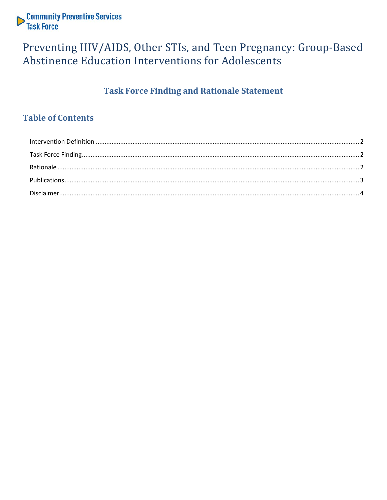

## Preventing HIV/AIDS, Other STIs, and Teen Pregnancy: Group-Based Abstinence Education Interventions for Adolescents

## **Task Force Finding and Rationale Statement**

### **Table of Contents**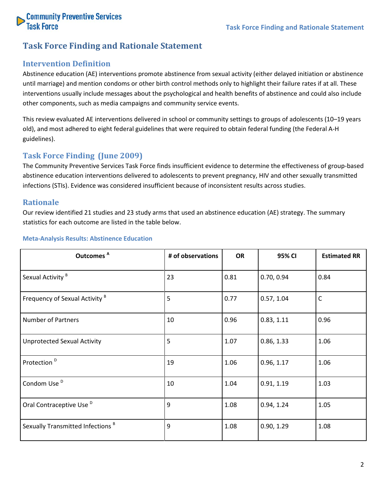

#### **Task Force Finding and Rationale Statement**

#### <span id="page-1-0"></span>**Intervention Definition**

Abstinence education (AE) interventions promote abstinence from sexual activity (either delayed initiation or abstinence until marriage) and mention condoms or other birth control methods only to highlight their failure rates if at all. These interventions usually include messages about the psychological and health benefits of abstinence and could also include other components, such as media campaigns and community service events.

This review evaluated AE interventions delivered in school or community settings to groups of adolescents (10–19 years old), and most adhered to eight federal guidelines that were required to obtain federal funding (the Federal A-H guidelines).

#### <span id="page-1-1"></span>**Task Force Finding (June 2009)**

The Community Preventive Services Task Force finds insufficient evidence to determine the effectiveness of group-based abstinence education interventions delivered to adolescents to prevent pregnancy, HIV and other sexually transmitted infections (STIs). Evidence was considered insufficient because of inconsistent results across studies.

#### <span id="page-1-2"></span>**Rationale**

Our review identified 21 studies and 23 study arms that used an abstinence education (AE) strategy. The summary statistics for each outcome are listed in the table below.

| Outcomes <sup>A</sup>                        | # of observations | <b>OR</b> | 95% CI     | <b>Estimated RR</b> |
|----------------------------------------------|-------------------|-----------|------------|---------------------|
| Sexual Activity <sup>B</sup>                 | 23                | 0.81      | 0.70, 0.94 | 0.84                |
| Frequency of Sexual Activity <sup>B</sup>    | 5                 | 0.77      | 0.57, 1.04 | $\mathsf C$         |
| <b>Number of Partners</b>                    | 10                | 0.96      | 0.83, 1.11 | 0.96                |
| <b>Unprotected Sexual Activity</b>           | 5                 | 1.07      | 0.86, 1.33 | 1.06                |
| Protection <sup>D</sup>                      | 19                | 1.06      | 0.96, 1.17 | 1.06                |
| Condom Use <sup>D</sup>                      | 10                | 1.04      | 0.91, 1.19 | 1.03                |
| Oral Contraceptive Use <sup>D</sup>          | 9                 | 1.08      | 0.94, 1.24 | 1.05                |
| Sexually Transmitted Infections <sup>B</sup> | 9                 | 1.08      | 0.90, 1.29 | 1.08                |

#### **Meta-Analysis Results: Abstinence Education**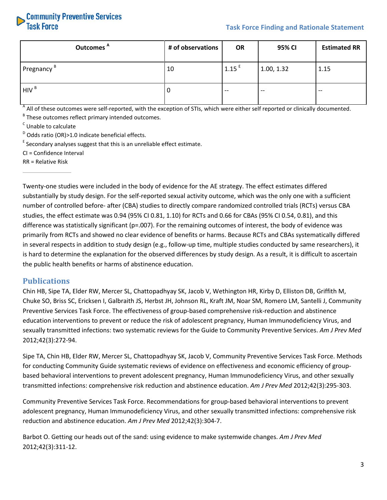

| Outcomes <sup>A</sup>  | # of observations | <b>OR</b>           | 95% CI     | <b>Estimated RR</b> |
|------------------------|-------------------|---------------------|------------|---------------------|
| Pregnancy <sup>B</sup> | 10                | $1.15$ <sup>E</sup> | 1.00, 1.32 | 1.15                |
| HIV <sup>B</sup>       | O                 | $- -$               | $- -$      | $- -$               |

<sup>A</sup> All of these outcomes were self-reported, with the exception of STIs, which were either self reported or clinically documented.

 $B$ <sup>B</sup> These outcomes reflect primary intended outcomes.

<sup>C</sup> Unable to calculate

 $D$  Odds ratio (OR) > 1.0 indicate beneficial effects.

 $E$  Secondary analyses suggest that this is an unreliable effect estimate.

CI = Confidence Interval

RR = Relative Risk

Twenty-one studies were included in the body of evidence for the AE strategy. The effect estimates differed substantially by study design. For the self-reported sexual activity outcome, which was the only one with a sufficient number of controlled before- after (CBA) studies to directly compare randomized controlled trials (RCTs) versus CBA studies, the effect estimate was 0.94 (95% CI 0.81, 1.10) for RCTs and 0.66 for CBAs (95% CI 0.54, 0.81), and this difference was statistically significant (p=.007). For the remaining outcomes of interest, the body of evidence was primarily from RCTs and showed no clear evidence of benefits or harms. Because RCTs and CBAs systematically differed in several respects in addition to study design (e.g., follow-up time, multiple studies conducted by same researchers), it is hard to determine the explanation for the observed differences by study design. As a result, it is difficult to ascertain the public health benefits or harms of abstinence education.

#### <span id="page-2-0"></span>**Publications**

Chin HB, Sipe TA, Elder RW, Mercer SL, Chattopadhyay SK, Jacob V, Wethington HR, Kirby D, Elliston DB, Griffith M, Chuke SO, Briss SC, Ericksen I, Galbraith JS, Herbst JH, Johnson RL, Kraft JM, Noar SM, Romero LM, Santelli J, Community Preventive Services Task Force. The effectiveness of group-based comprehensive risk-reduction and abstinence education interventions to prevent or reduce the risk of adolescent pregnancy, Human Immunodeficiency Virus, and sexually transmitted infections: two systematic reviews for the Guide to Community Preventive Services. *Am J Prev Med* 2012;42(3):272-94.

Sipe TA, Chin HB, Elder RW, Mercer SL, Chattopadhyay SK, Jacob V, Community Preventive Services Task Force. Methods for conducting Community Guide systematic reviews of evidence on effectiveness and economic efficiency of groupbased behavioral interventions to prevent adolescent pregnancy, Human Immunodeficiency Virus, and other sexually transmitted infections: comprehensive risk reduction and abstinence education. *Am J Prev Med* 2012;42(3):295-303.

Community Preventive Services Task Force. Recommendations for group-based behavioral interventions to prevent adolescent pregnancy, Human Immunodeficiency Virus, and other sexually transmitted infections: comprehensive risk reduction and abstinence education. *Am J Prev Med* 2012;42(3):304-7.

Barbot O. Getting our heads out of the sand: using evidence to make systemwide changes. *Am J Prev Med* 2012;42(3):311-12.